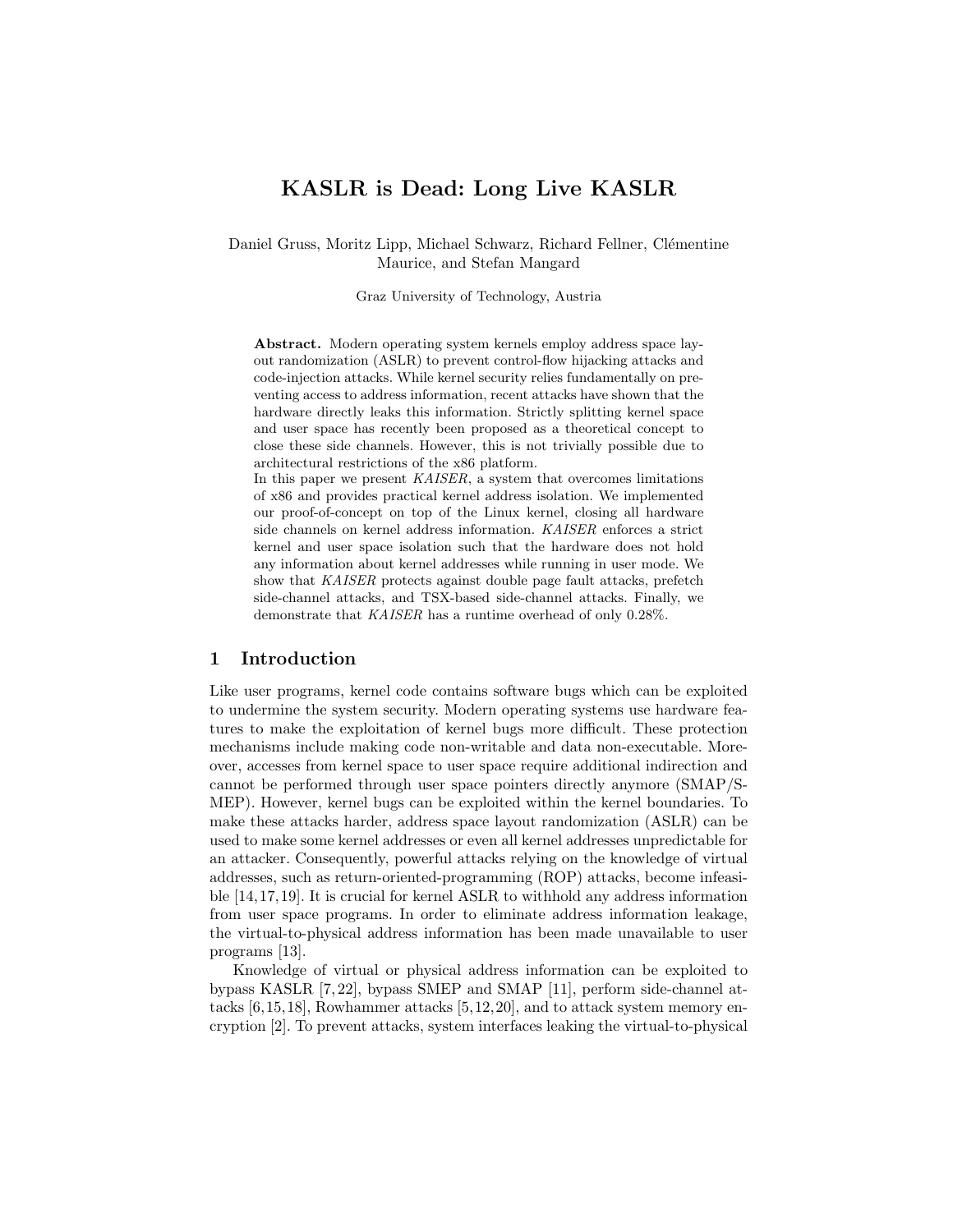# KASLR is Dead: Long Live KASLR

Daniel Gruss, Moritz Lipp, Michael Schwarz, Richard Fellner, Clémentine Maurice, and Stefan Mangard

Graz University of Technology, Austria

Abstract. Modern operating system kernels employ address space layout randomization (ASLR) to prevent control-flow hijacking attacks and code-injection attacks. While kernel security relies fundamentally on preventing access to address information, recent attacks have shown that the hardware directly leaks this information. Strictly splitting kernel space and user space has recently been proposed as a theoretical concept to close these side channels. However, this is not trivially possible due to architectural restrictions of the x86 platform.

In this paper we present KAISER, a system that overcomes limitations of x86 and provides practical kernel address isolation. We implemented our proof-of-concept on top of the Linux kernel, closing all hardware side channels on kernel address information. KAISER enforces a strict kernel and user space isolation such that the hardware does not hold any information about kernel addresses while running in user mode. We show that KAISER protects against double page fault attacks, prefetch side-channel attacks, and TSX-based side-channel attacks. Finally, we demonstrate that KAISER has a runtime overhead of only 0.28%.

# 1 Introduction

Like user programs, kernel code contains software bugs which can be exploited to undermine the system security. Modern operating systems use hardware features to make the exploitation of kernel bugs more difficult. These protection mechanisms include making code non-writable and data non-executable. Moreover, accesses from kernel space to user space require additional indirection and cannot be performed through user space pointers directly anymore (SMAP/S-MEP). However, kernel bugs can be exploited within the kernel boundaries. To make these attacks harder, address space layout randomization (ASLR) can be used to make some kernel addresses or even all kernel addresses unpredictable for an attacker. Consequently, powerful attacks relying on the knowledge of virtual addresses, such as return-oriented-programming (ROP) attacks, become infeasible [14,17,19]. It is crucial for kernel ASLR to withhold any address information from user space programs. In order to eliminate address information leakage, the virtual-to-physical address information has been made unavailable to user programs [13].

Knowledge of virtual or physical address information can be exploited to bypass KASLR [7, 22], bypass SMEP and SMAP [11], perform side-channel attacks [6,15,18], Rowhammer attacks [5,12,20], and to attack system memory encryption [2]. To prevent attacks, system interfaces leaking the virtual-to-physical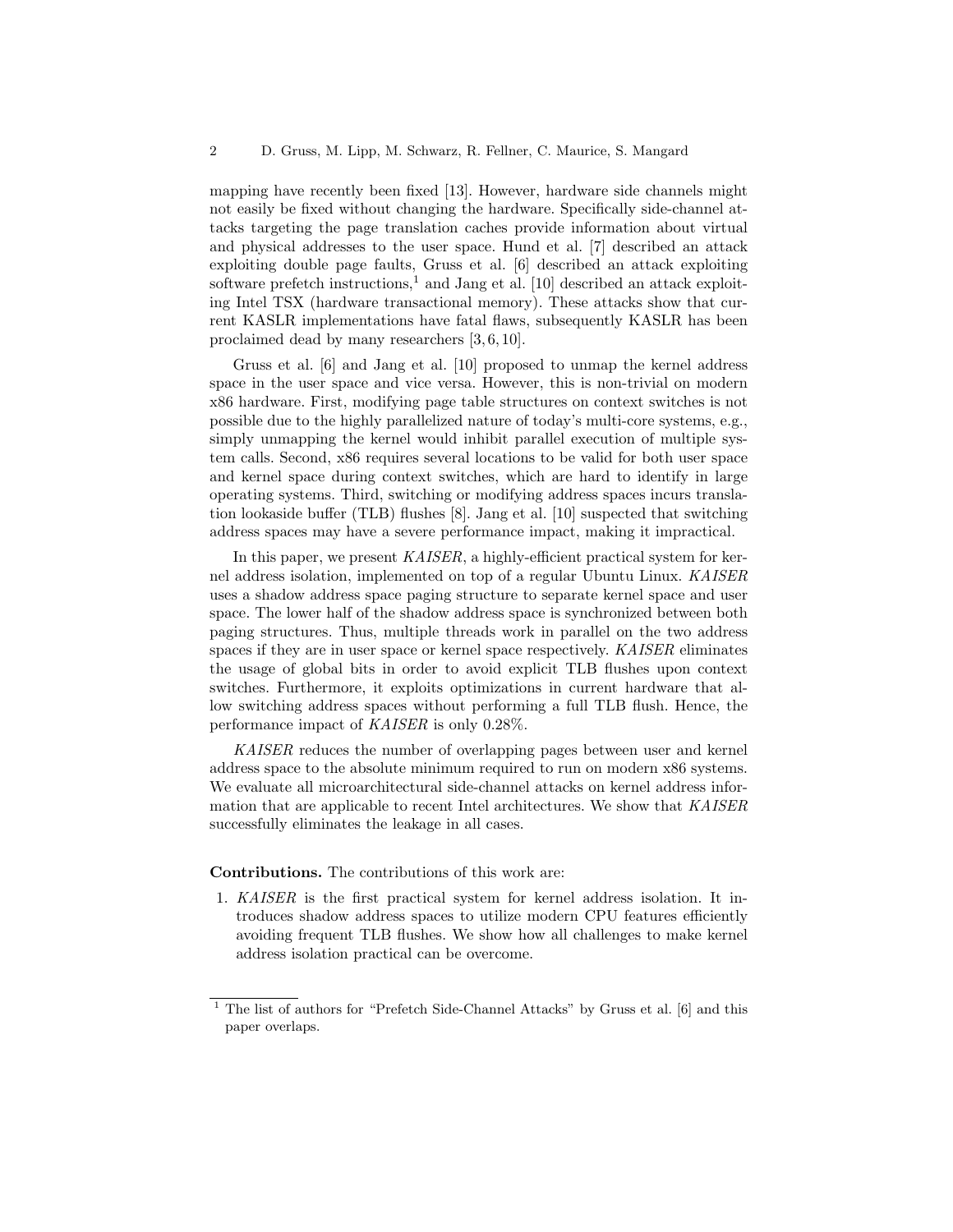mapping have recently been fixed [13]. However, hardware side channels might not easily be fixed without changing the hardware. Specifically side-channel attacks targeting the page translation caches provide information about virtual and physical addresses to the user space. Hund et al. [7] described an attack exploiting double page faults, Gruss et al. [6] described an attack exploiting software prefetch instructions,<sup>1</sup> and Jang et al. [10] described an attack exploiting Intel TSX (hardware transactional memory). These attacks show that current KASLR implementations have fatal flaws, subsequently KASLR has been proclaimed dead by many researchers [3, 6, 10].

Gruss et al. [6] and Jang et al. [10] proposed to unmap the kernel address space in the user space and vice versa. However, this is non-trivial on modern x86 hardware. First, modifying page table structures on context switches is not possible due to the highly parallelized nature of today's multi-core systems, e.g., simply unmapping the kernel would inhibit parallel execution of multiple system calls. Second, x86 requires several locations to be valid for both user space and kernel space during context switches, which are hard to identify in large operating systems. Third, switching or modifying address spaces incurs translation lookaside buffer (TLB) flushes [8]. Jang et al. [10] suspected that switching address spaces may have a severe performance impact, making it impractical.

In this paper, we present KAISER, a highly-efficient practical system for kernel address isolation, implemented on top of a regular Ubuntu Linux. KAISER uses a shadow address space paging structure to separate kernel space and user space. The lower half of the shadow address space is synchronized between both paging structures. Thus, multiple threads work in parallel on the two address spaces if they are in user space or kernel space respectively. KAISER eliminates the usage of global bits in order to avoid explicit TLB flushes upon context switches. Furthermore, it exploits optimizations in current hardware that allow switching address spaces without performing a full TLB flush. Hence, the performance impact of KAISER is only 0.28%.

KAISER reduces the number of overlapping pages between user and kernel address space to the absolute minimum required to run on modern x86 systems. We evaluate all microarchitectural side-channel attacks on kernel address information that are applicable to recent Intel architectures. We show that KAISER successfully eliminates the leakage in all cases.

Contributions. The contributions of this work are:

1. KAISER is the first practical system for kernel address isolation. It introduces shadow address spaces to utilize modern CPU features efficiently avoiding frequent TLB flushes. We show how all challenges to make kernel address isolation practical can be overcome.

<sup>&</sup>lt;sup>1</sup> The list of authors for "Prefetch Side-Channel Attacks" by Gruss et al. [6] and this paper overlaps.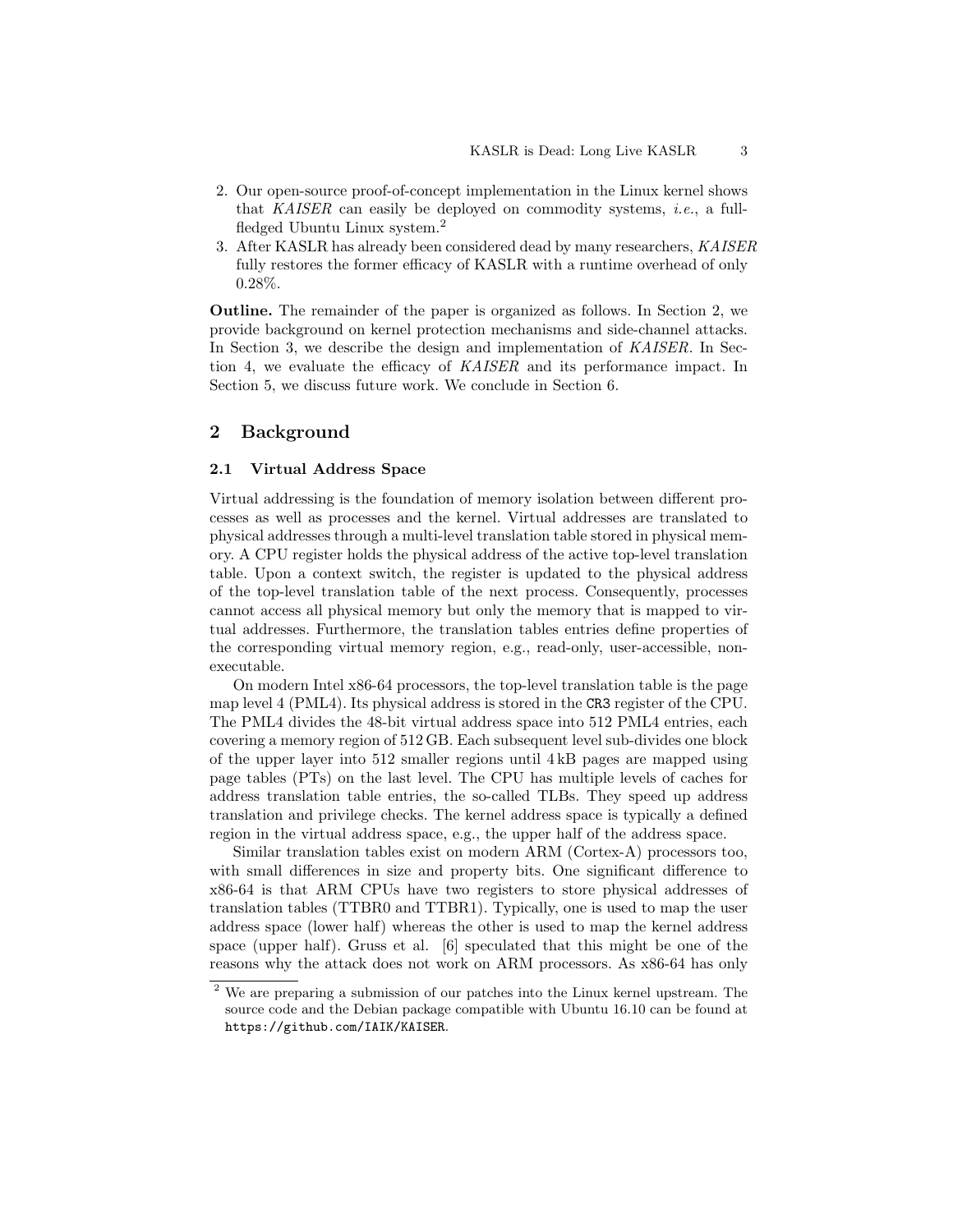- 2. Our open-source proof-of-concept implementation in the Linux kernel shows that KAISER can easily be deployed on commodity systems, i.e., a fullfledged Ubuntu Linux system.<sup>2</sup>
- 3. After KASLR has already been considered dead by many researchers, KAISER fully restores the former efficacy of KASLR with a runtime overhead of only 0.28%.

Outline. The remainder of the paper is organized as follows. In Section 2, we provide background on kernel protection mechanisms and side-channel attacks. In Section 3, we describe the design and implementation of KAISER. In Section 4, we evaluate the efficacy of KAISER and its performance impact. In Section 5, we discuss future work. We conclude in Section 6.

# 2 Background

### 2.1 Virtual Address Space

Virtual addressing is the foundation of memory isolation between different processes as well as processes and the kernel. Virtual addresses are translated to physical addresses through a multi-level translation table stored in physical memory. A CPU register holds the physical address of the active top-level translation table. Upon a context switch, the register is updated to the physical address of the top-level translation table of the next process. Consequently, processes cannot access all physical memory but only the memory that is mapped to virtual addresses. Furthermore, the translation tables entries define properties of the corresponding virtual memory region, e.g., read-only, user-accessible, nonexecutable.

On modern Intel x86-64 processors, the top-level translation table is the page map level 4 (PML4). Its physical address is stored in the CR3 register of the CPU. The PML4 divides the 48-bit virtual address space into 512 PML4 entries, each covering a memory region of 512 GB. Each subsequent level sub-divides one block of the upper layer into 512 smaller regions until 4 kB pages are mapped using page tables (PTs) on the last level. The CPU has multiple levels of caches for address translation table entries, the so-called TLBs. They speed up address translation and privilege checks. The kernel address space is typically a defined region in the virtual address space, e.g., the upper half of the address space.

Similar translation tables exist on modern ARM (Cortex-A) processors too, with small differences in size and property bits. One significant difference to x86-64 is that ARM CPUs have two registers to store physical addresses of translation tables (TTBR0 and TTBR1). Typically, one is used to map the user address space (lower half) whereas the other is used to map the kernel address space (upper half). Gruss et al. [6] speculated that this might be one of the reasons why the attack does not work on ARM processors. As x86-64 has only

<sup>2</sup> We are preparing a submission of our patches into the Linux kernel upstream. The source code and the Debian package compatible with Ubuntu 16.10 can be found at https://github.com/IAIK/KAISER.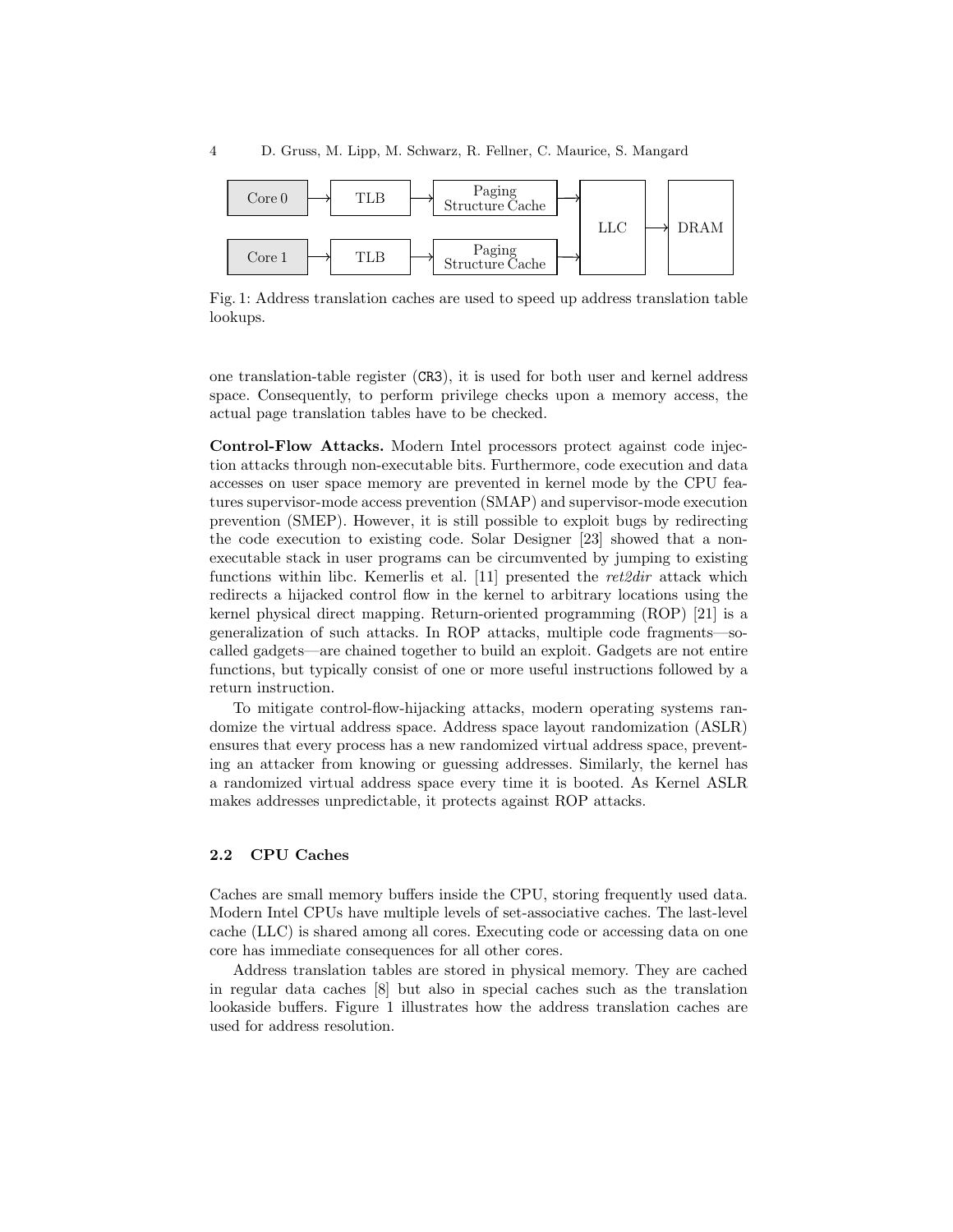

Fig. 1: Address translation caches are used to speed up address translation table lookups.

one translation-table register (CR3), it is used for both user and kernel address space. Consequently, to perform privilege checks upon a memory access, the actual page translation tables have to be checked.

Control-Flow Attacks. Modern Intel processors protect against code injection attacks through non-executable bits. Furthermore, code execution and data accesses on user space memory are prevented in kernel mode by the CPU features supervisor-mode access prevention (SMAP) and supervisor-mode execution prevention (SMEP). However, it is still possible to exploit bugs by redirecting the code execution to existing code. Solar Designer [23] showed that a nonexecutable stack in user programs can be circumvented by jumping to existing functions within libc. Kemerlis et al. [11] presented the retar attack which redirects a hijacked control flow in the kernel to arbitrary locations using the kernel physical direct mapping. Return-oriented programming (ROP) [21] is a generalization of such attacks. In ROP attacks, multiple code fragments—socalled gadgets—are chained together to build an exploit. Gadgets are not entire functions, but typically consist of one or more useful instructions followed by a return instruction.

To mitigate control-flow-hijacking attacks, modern operating systems randomize the virtual address space. Address space layout randomization (ASLR) ensures that every process has a new randomized virtual address space, preventing an attacker from knowing or guessing addresses. Similarly, the kernel has a randomized virtual address space every time it is booted. As Kernel ASLR makes addresses unpredictable, it protects against ROP attacks.

# 2.2 CPU Caches

Caches are small memory buffers inside the CPU, storing frequently used data. Modern Intel CPUs have multiple levels of set-associative caches. The last-level cache (LLC) is shared among all cores. Executing code or accessing data on one core has immediate consequences for all other cores.

Address translation tables are stored in physical memory. They are cached in regular data caches [8] but also in special caches such as the translation lookaside buffers. Figure 1 illustrates how the address translation caches are used for address resolution.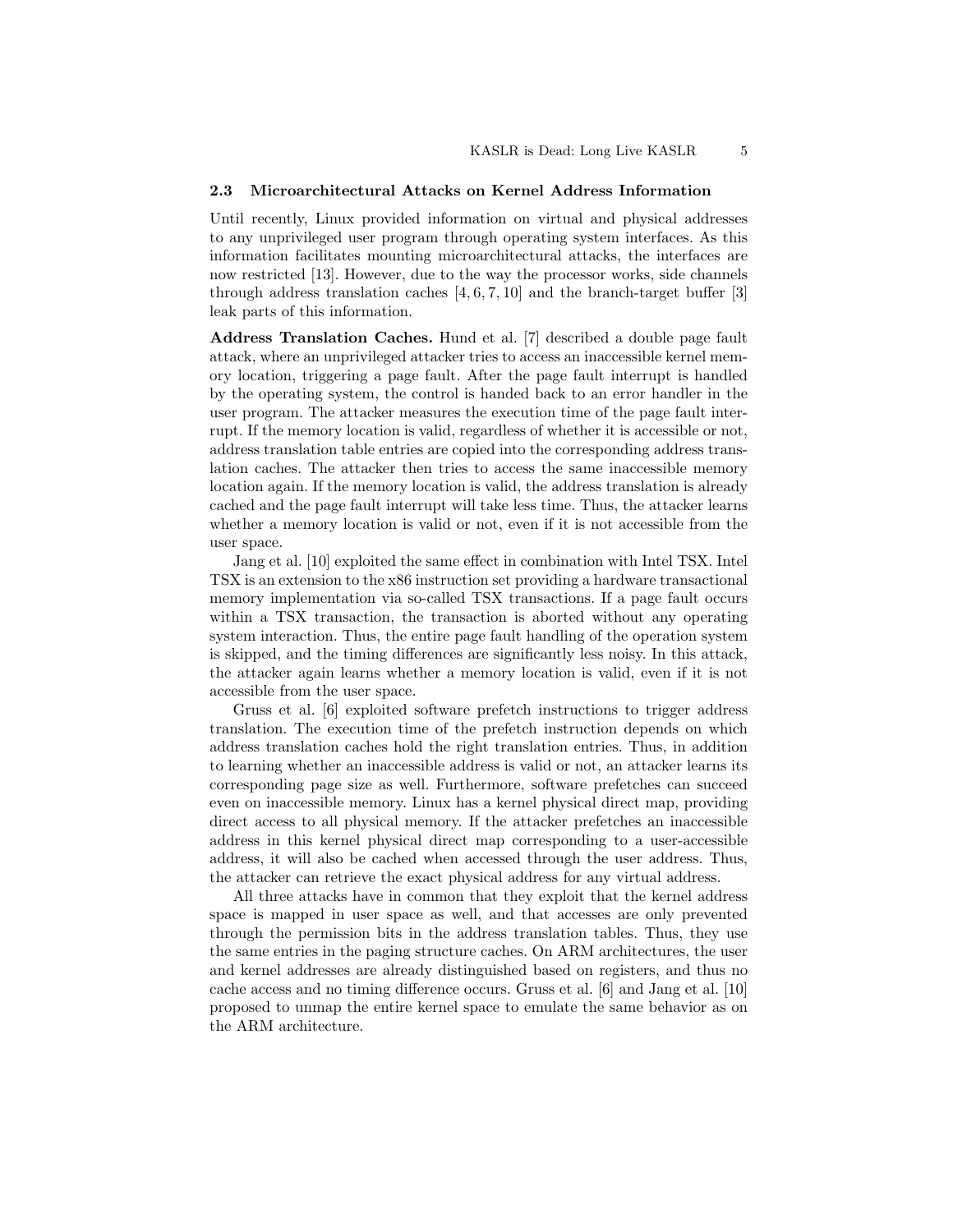#### 2.3 Microarchitectural Attacks on Kernel Address Information

Until recently, Linux provided information on virtual and physical addresses to any unprivileged user program through operating system interfaces. As this information facilitates mounting microarchitectural attacks, the interfaces are now restricted [13]. However, due to the way the processor works, side channels through address translation caches  $[4, 6, 7, 10]$  and the branch-target buffer  $[3]$ leak parts of this information.

Address Translation Caches. Hund et al. [7] described a double page fault attack, where an unprivileged attacker tries to access an inaccessible kernel memory location, triggering a page fault. After the page fault interrupt is handled by the operating system, the control is handed back to an error handler in the user program. The attacker measures the execution time of the page fault interrupt. If the memory location is valid, regardless of whether it is accessible or not, address translation table entries are copied into the corresponding address translation caches. The attacker then tries to access the same inaccessible memory location again. If the memory location is valid, the address translation is already cached and the page fault interrupt will take less time. Thus, the attacker learns whether a memory location is valid or not, even if it is not accessible from the user space.

Jang et al. [10] exploited the same effect in combination with Intel TSX. Intel TSX is an extension to the x86 instruction set providing a hardware transactional memory implementation via so-called TSX transactions. If a page fault occurs within a TSX transaction, the transaction is aborted without any operating system interaction. Thus, the entire page fault handling of the operation system is skipped, and the timing differences are significantly less noisy. In this attack, the attacker again learns whether a memory location is valid, even if it is not accessible from the user space.

Gruss et al. [6] exploited software prefetch instructions to trigger address translation. The execution time of the prefetch instruction depends on which address translation caches hold the right translation entries. Thus, in addition to learning whether an inaccessible address is valid or not, an attacker learns its corresponding page size as well. Furthermore, software prefetches can succeed even on inaccessible memory. Linux has a kernel physical direct map, providing direct access to all physical memory. If the attacker prefetches an inaccessible address in this kernel physical direct map corresponding to a user-accessible address, it will also be cached when accessed through the user address. Thus, the attacker can retrieve the exact physical address for any virtual address.

All three attacks have in common that they exploit that the kernel address space is mapped in user space as well, and that accesses are only prevented through the permission bits in the address translation tables. Thus, they use the same entries in the paging structure caches. On ARM architectures, the user and kernel addresses are already distinguished based on registers, and thus no cache access and no timing difference occurs. Gruss et al. [6] and Jang et al. [10] proposed to unmap the entire kernel space to emulate the same behavior as on the ARM architecture.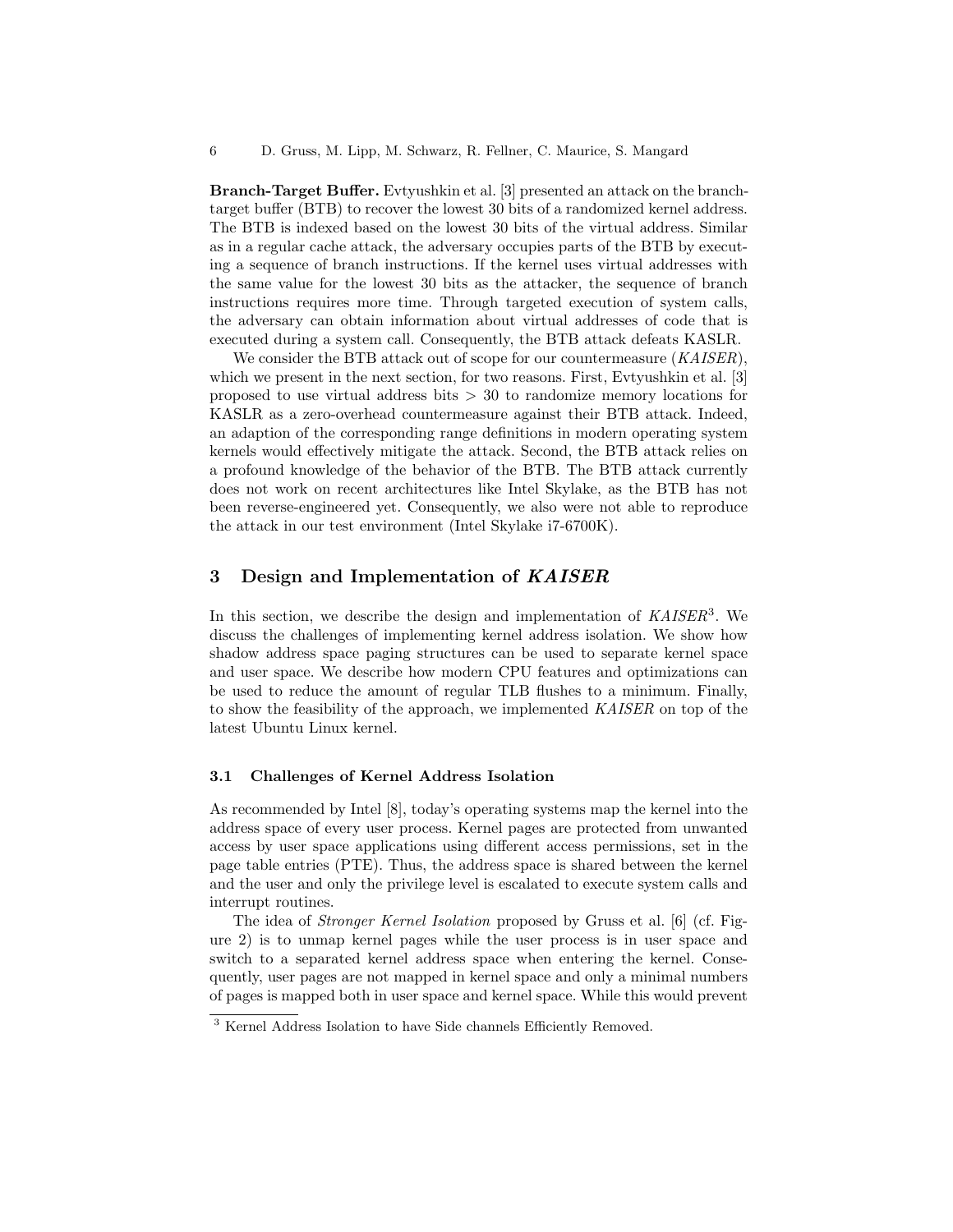Branch-Target Buffer. Evtyushkin et al. [3] presented an attack on the branchtarget buffer (BTB) to recover the lowest 30 bits of a randomized kernel address. The BTB is indexed based on the lowest 30 bits of the virtual address. Similar as in a regular cache attack, the adversary occupies parts of the BTB by executing a sequence of branch instructions. If the kernel uses virtual addresses with the same value for the lowest 30 bits as the attacker, the sequence of branch instructions requires more time. Through targeted execution of system calls, the adversary can obtain information about virtual addresses of code that is executed during a system call. Consequently, the BTB attack defeats KASLR.

We consider the BTB attack out of scope for our countermeasure  $(KAISER)$ , which we present in the next section, for two reasons. First, Evtyushkin et al. [3] proposed to use virtual address bits  $> 30$  to randomize memory locations for KASLR as a zero-overhead countermeasure against their BTB attack. Indeed, an adaption of the corresponding range definitions in modern operating system kernels would effectively mitigate the attack. Second, the BTB attack relies on a profound knowledge of the behavior of the BTB. The BTB attack currently does not work on recent architectures like Intel Skylake, as the BTB has not been reverse-engineered yet. Consequently, we also were not able to reproduce the attack in our test environment (Intel Skylake i7-6700K).

### 3 Design and Implementation of KAISER

In this section, we describe the design and implementation of KAISER<sup>3</sup>. We discuss the challenges of implementing kernel address isolation. We show how shadow address space paging structures can be used to separate kernel space and user space. We describe how modern CPU features and optimizations can be used to reduce the amount of regular TLB flushes to a minimum. Finally, to show the feasibility of the approach, we implemented KAISER on top of the latest Ubuntu Linux kernel.

#### 3.1 Challenges of Kernel Address Isolation

As recommended by Intel [8], today's operating systems map the kernel into the address space of every user process. Kernel pages are protected from unwanted access by user space applications using different access permissions, set in the page table entries (PTE). Thus, the address space is shared between the kernel and the user and only the privilege level is escalated to execute system calls and interrupt routines.

The idea of Stronger Kernel Isolation proposed by Gruss et al. [6] (cf. Figure 2) is to unmap kernel pages while the user process is in user space and switch to a separated kernel address space when entering the kernel. Consequently, user pages are not mapped in kernel space and only a minimal numbers of pages is mapped both in user space and kernel space. While this would prevent

<sup>&</sup>lt;sup>3</sup> Kernel Address Isolation to have Side channels Efficiently Removed.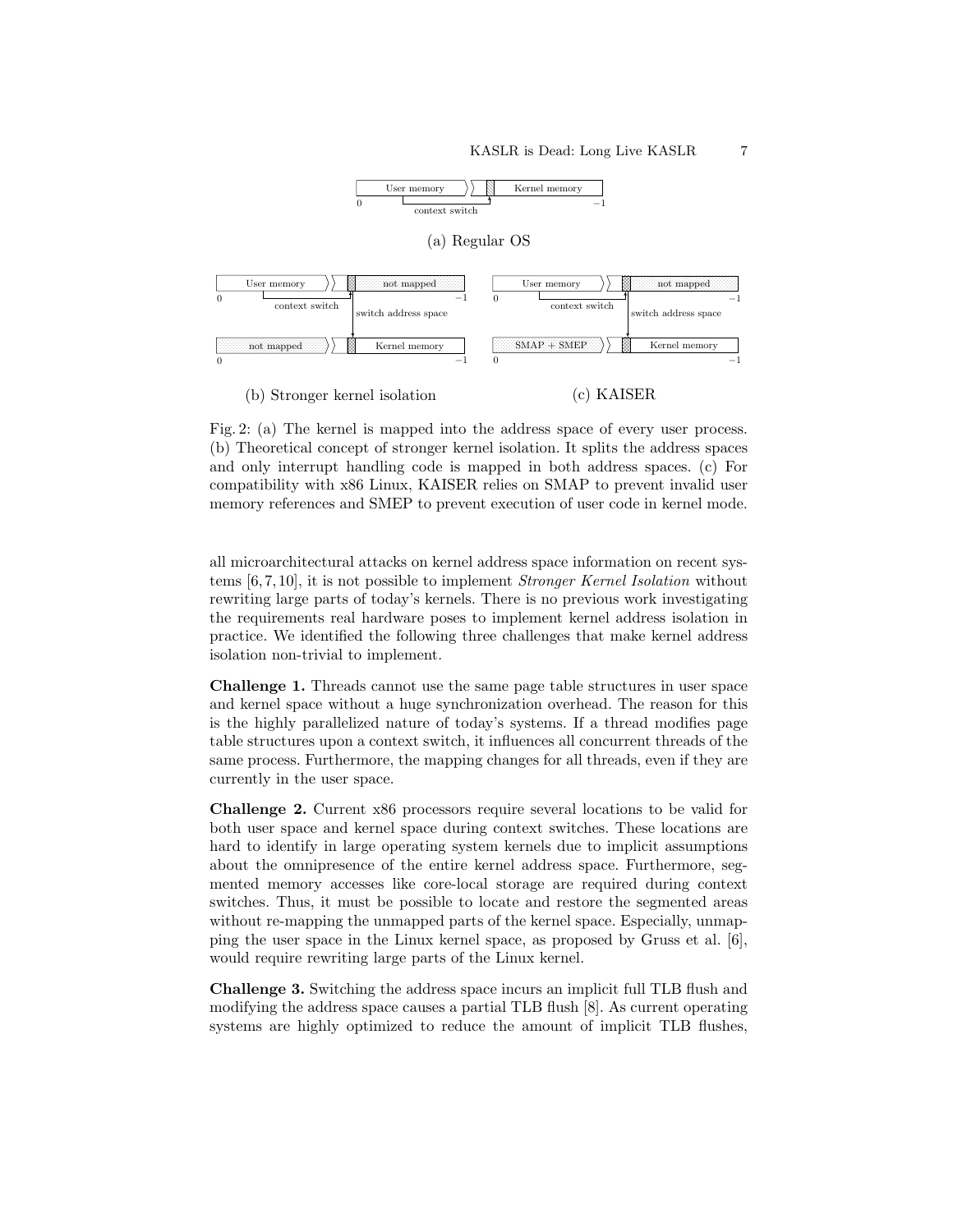

Fig. 2: (a) The kernel is mapped into the address space of every user process. (b) Theoretical concept of stronger kernel isolation. It splits the address spaces and only interrupt handling code is mapped in both address spaces. (c) For compatibility with x86 Linux, KAISER relies on SMAP to prevent invalid user memory references and SMEP to prevent execution of user code in kernel mode.

all microarchitectural attacks on kernel address space information on recent systems [6, 7, 10], it is not possible to implement Stronger Kernel Isolation without rewriting large parts of today's kernels. There is no previous work investigating the requirements real hardware poses to implement kernel address isolation in practice. We identified the following three challenges that make kernel address isolation non-trivial to implement.

Challenge 1. Threads cannot use the same page table structures in user space and kernel space without a huge synchronization overhead. The reason for this is the highly parallelized nature of today's systems. If a thread modifies page table structures upon a context switch, it influences all concurrent threads of the same process. Furthermore, the mapping changes for all threads, even if they are currently in the user space.

Challenge 2. Current x86 processors require several locations to be valid for both user space and kernel space during context switches. These locations are hard to identify in large operating system kernels due to implicit assumptions about the omnipresence of the entire kernel address space. Furthermore, segmented memory accesses like core-local storage are required during context switches. Thus, it must be possible to locate and restore the segmented areas without re-mapping the unmapped parts of the kernel space. Especially, unmapping the user space in the Linux kernel space, as proposed by Gruss et al. [6], would require rewriting large parts of the Linux kernel.

Challenge 3. Switching the address space incurs an implicit full TLB flush and modifying the address space causes a partial TLB flush [8]. As current operating systems are highly optimized to reduce the amount of implicit TLB flushes,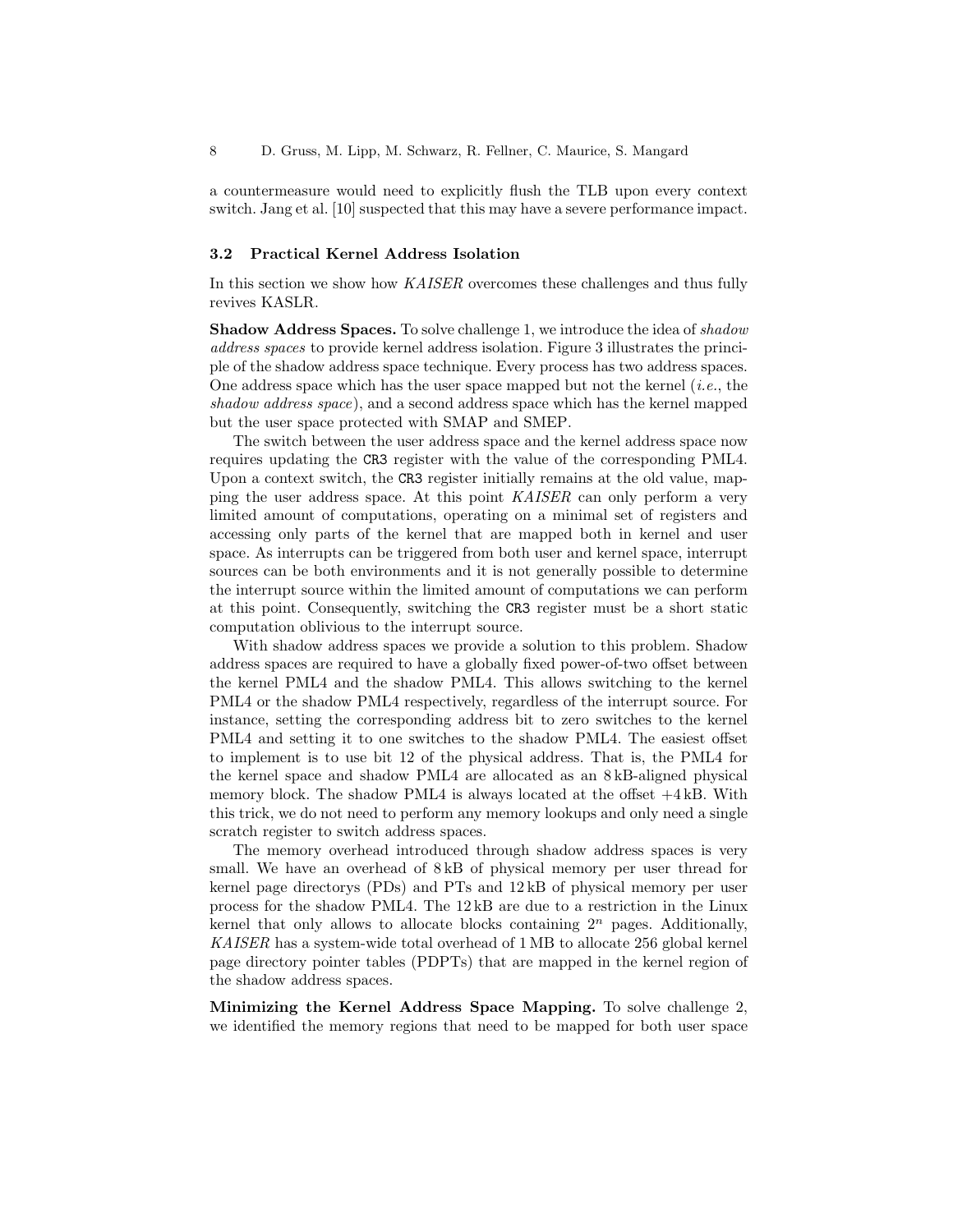a countermeasure would need to explicitly flush the TLB upon every context switch. Jang et al. [10] suspected that this may have a severe performance impact.

#### 3.2 Practical Kernel Address Isolation

In this section we show how KAISER overcomes these challenges and thus fully revives KASLR.

Shadow Address Spaces. To solve challenge 1, we introduce the idea of shadow address spaces to provide kernel address isolation. Figure 3 illustrates the principle of the shadow address space technique. Every process has two address spaces. One address space which has the user space mapped but not the kernel  $(i.e.,$  the shadow address space), and a second address space which has the kernel mapped but the user space protected with SMAP and SMEP.

The switch between the user address space and the kernel address space now requires updating the CR3 register with the value of the corresponding PML4. Upon a context switch, the CR3 register initially remains at the old value, mapping the user address space. At this point KAISER can only perform a very limited amount of computations, operating on a minimal set of registers and accessing only parts of the kernel that are mapped both in kernel and user space. As interrupts can be triggered from both user and kernel space, interrupt sources can be both environments and it is not generally possible to determine the interrupt source within the limited amount of computations we can perform at this point. Consequently, switching the CR3 register must be a short static computation oblivious to the interrupt source.

With shadow address spaces we provide a solution to this problem. Shadow address spaces are required to have a globally fixed power-of-two offset between the kernel PML4 and the shadow PML4. This allows switching to the kernel PML4 or the shadow PML4 respectively, regardless of the interrupt source. For instance, setting the corresponding address bit to zero switches to the kernel PML4 and setting it to one switches to the shadow PML4. The easiest offset to implement is to use bit 12 of the physical address. That is, the PML4 for the kernel space and shadow PML4 are allocated as an 8 kB-aligned physical memory block. The shadow PML4 is always located at the offset +4 kB. With this trick, we do not need to perform any memory lookups and only need a single scratch register to switch address spaces.

The memory overhead introduced through shadow address spaces is very small. We have an overhead of  $8kB$  of physical memory per user thread for kernel page directorys (PDs) and PTs and 12 kB of physical memory per user process for the shadow PML4. The 12 kB are due to a restriction in the Linux kernel that only allows to allocate blocks containing  $2^n$  pages. Additionally, KAISER has a system-wide total overhead of 1 MB to allocate 256 global kernel page directory pointer tables (PDPTs) that are mapped in the kernel region of the shadow address spaces.

Minimizing the Kernel Address Space Mapping. To solve challenge 2, we identified the memory regions that need to be mapped for both user space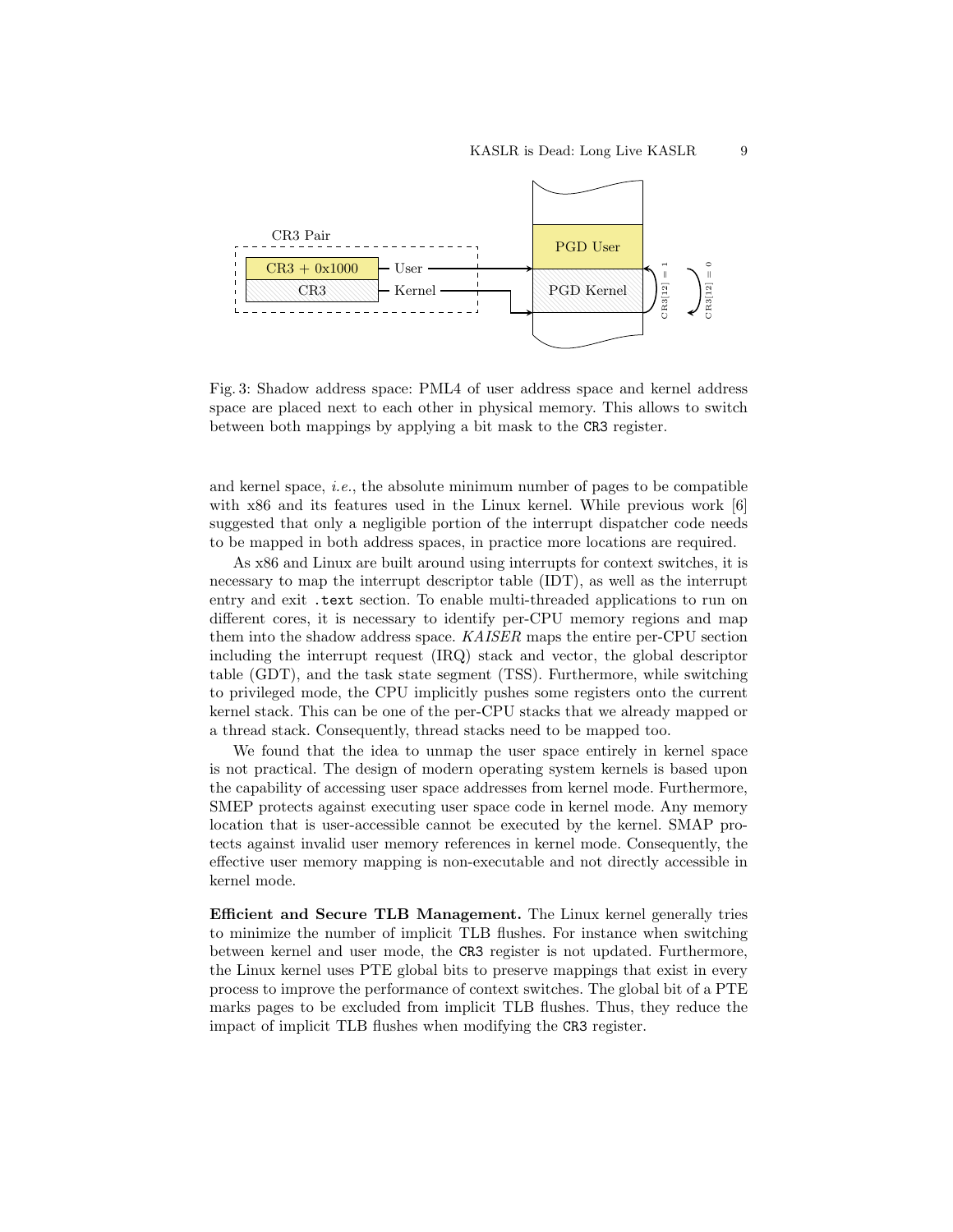

Fig. 3: Shadow address space: PML4 of user address space and kernel address space are placed next to each other in physical memory. This allows to switch between both mappings by applying a bit mask to the CR3 register.

and kernel space, i.e., the absolute minimum number of pages to be compatible with x86 and its features used in the Linux kernel. While previous work [6] suggested that only a negligible portion of the interrupt dispatcher code needs to be mapped in both address spaces, in practice more locations are required.

As x86 and Linux are built around using interrupts for context switches, it is necessary to map the interrupt descriptor table (IDT), as well as the interrupt entry and exit .text section. To enable multi-threaded applications to run on different cores, it is necessary to identify per-CPU memory regions and map them into the shadow address space. KAISER maps the entire per-CPU section including the interrupt request (IRQ) stack and vector, the global descriptor table (GDT), and the task state segment (TSS). Furthermore, while switching to privileged mode, the CPU implicitly pushes some registers onto the current kernel stack. This can be one of the per-CPU stacks that we already mapped or a thread stack. Consequently, thread stacks need to be mapped too.

We found that the idea to unmap the user space entirely in kernel space is not practical. The design of modern operating system kernels is based upon the capability of accessing user space addresses from kernel mode. Furthermore, SMEP protects against executing user space code in kernel mode. Any memory location that is user-accessible cannot be executed by the kernel. SMAP protects against invalid user memory references in kernel mode. Consequently, the effective user memory mapping is non-executable and not directly accessible in kernel mode.

Efficient and Secure TLB Management. The Linux kernel generally tries to minimize the number of implicit TLB flushes. For instance when switching between kernel and user mode, the CR3 register is not updated. Furthermore, the Linux kernel uses PTE global bits to preserve mappings that exist in every process to improve the performance of context switches. The global bit of a PTE marks pages to be excluded from implicit TLB flushes. Thus, they reduce the impact of implicit TLB flushes when modifying the CR3 register.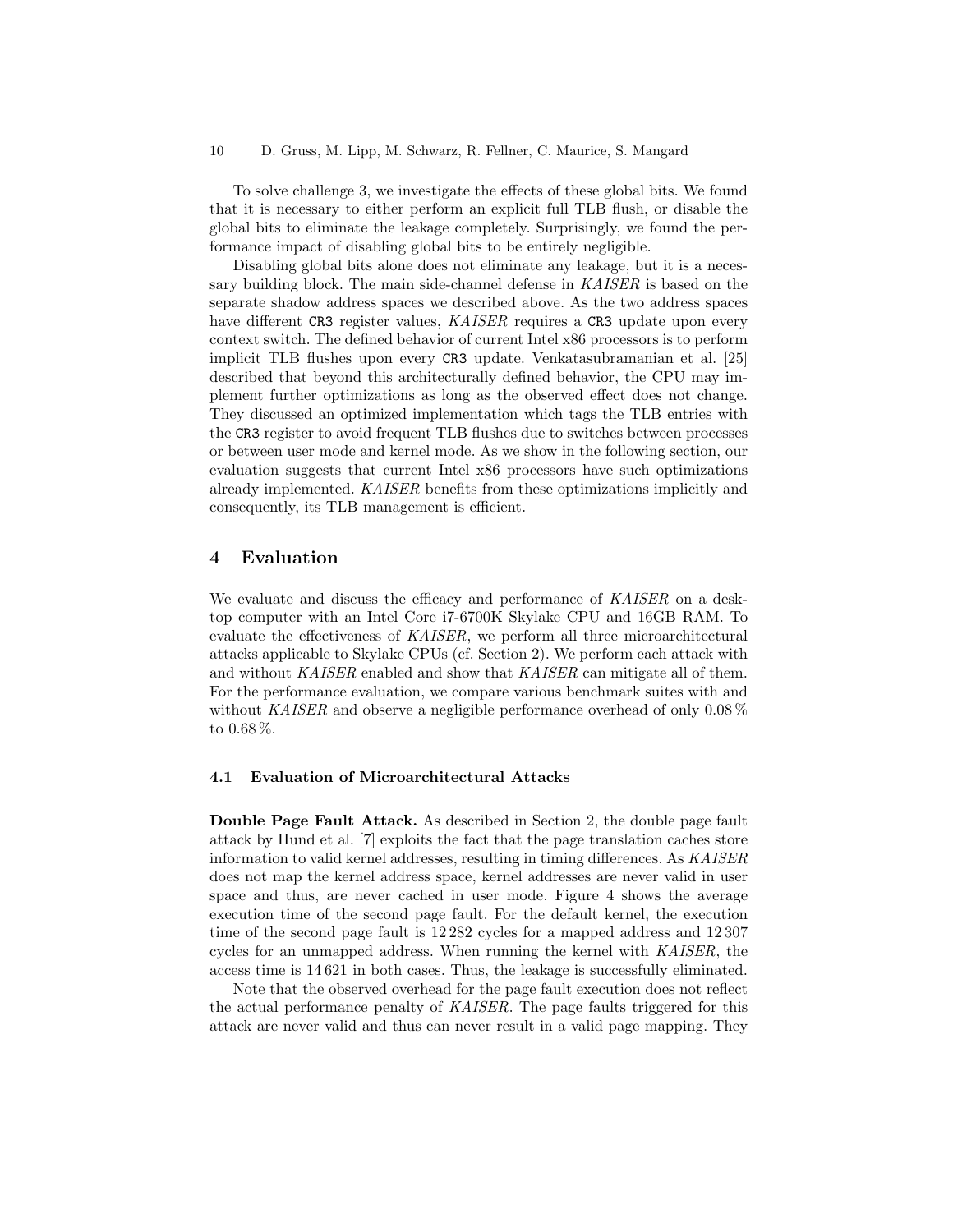#### 10 D. Gruss, M. Lipp, M. Schwarz, R. Fellner, C. Maurice, S. Mangard

To solve challenge 3, we investigate the effects of these global bits. We found that it is necessary to either perform an explicit full TLB flush, or disable the global bits to eliminate the leakage completely. Surprisingly, we found the performance impact of disabling global bits to be entirely negligible.

Disabling global bits alone does not eliminate any leakage, but it is a necessary building block. The main side-channel defense in KAISER is based on the separate shadow address spaces we described above. As the two address spaces have different CR3 register values, KAISER requires a CR3 update upon every context switch. The defined behavior of current Intel x86 processors is to perform implicit TLB flushes upon every CR3 update. Venkatasubramanian et al. [25] described that beyond this architecturally defined behavior, the CPU may implement further optimizations as long as the observed effect does not change. They discussed an optimized implementation which tags the TLB entries with the CR3 register to avoid frequent TLB flushes due to switches between processes or between user mode and kernel mode. As we show in the following section, our evaluation suggests that current Intel x86 processors have such optimizations already implemented. KAISER benefits from these optimizations implicitly and consequently, its TLB management is efficient.

# 4 Evaluation

We evaluate and discuss the efficacy and performance of KAISER on a desktop computer with an Intel Core i7-6700K Skylake CPU and 16GB RAM. To evaluate the effectiveness of KAISER, we perform all three microarchitectural attacks applicable to Skylake CPUs (cf. Section 2). We perform each attack with and without KAISER enabled and show that KAISER can mitigate all of them. For the performance evaluation, we compare various benchmark suites with and without KAISER and observe a negligible performance overhead of only 0.08  $\%$ to 0.68 %.

#### 4.1 Evaluation of Microarchitectural Attacks

Double Page Fault Attack. As described in Section 2, the double page fault attack by Hund et al. [7] exploits the fact that the page translation caches store information to valid kernel addresses, resulting in timing differences. As KAISER does not map the kernel address space, kernel addresses are never valid in user space and thus, are never cached in user mode. Figure 4 shows the average execution time of the second page fault. For the default kernel, the execution time of the second page fault is 12 282 cycles for a mapped address and 12 307 cycles for an unmapped address. When running the kernel with KAISER, the access time is 14 621 in both cases. Thus, the leakage is successfully eliminated.

Note that the observed overhead for the page fault execution does not reflect the actual performance penalty of KAISER. The page faults triggered for this attack are never valid and thus can never result in a valid page mapping. They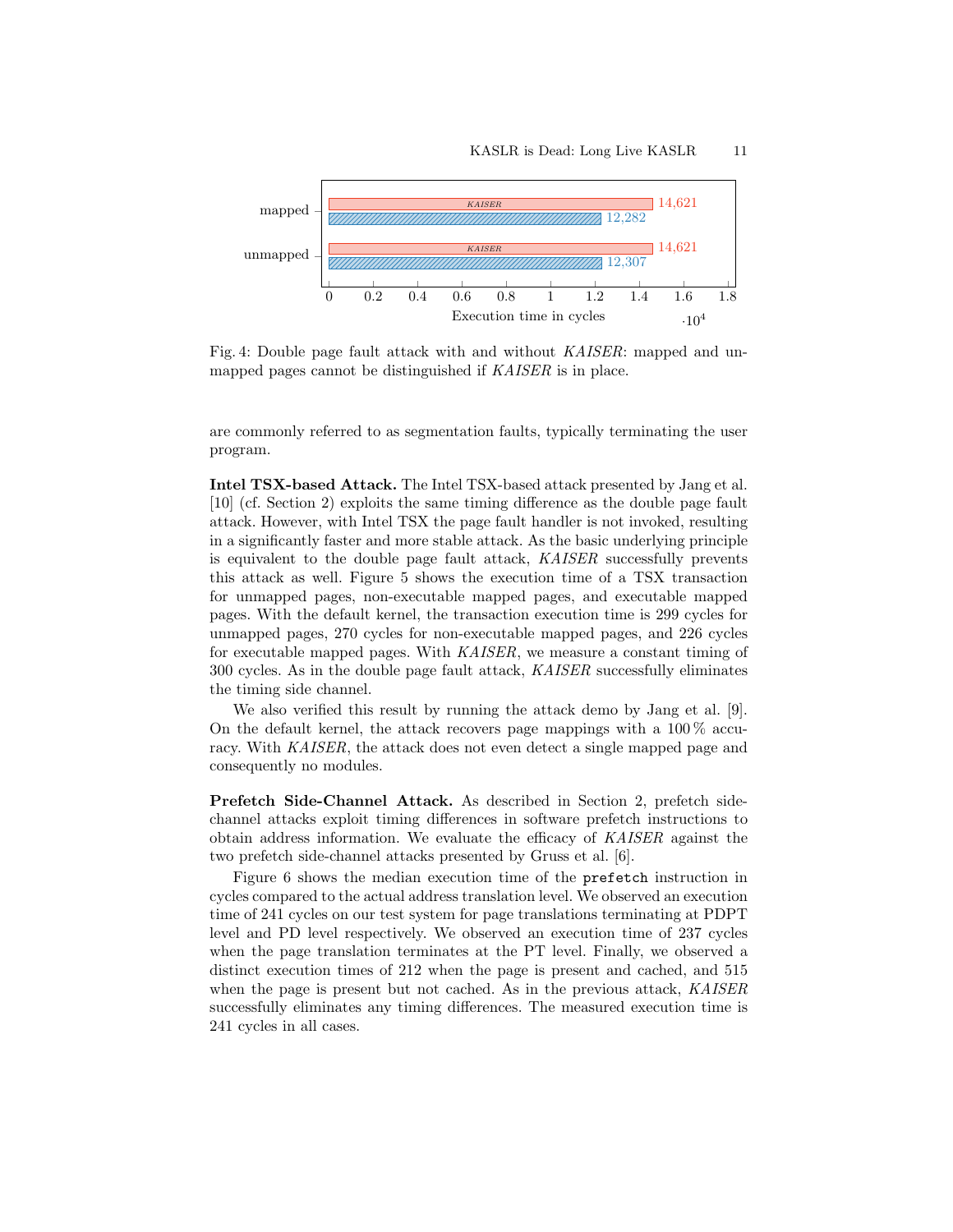

Fig. 4: Double page fault attack with and without KAISER: mapped and unmapped pages cannot be distinguished if KAISER is in place.

are commonly referred to as segmentation faults, typically terminating the user program.

Intel TSX-based Attack. The Intel TSX-based attack presented by Jang et al. [10] (cf. Section 2) exploits the same timing difference as the double page fault attack. However, with Intel TSX the page fault handler is not invoked, resulting in a significantly faster and more stable attack. As the basic underlying principle is equivalent to the double page fault attack, KAISER successfully prevents this attack as well. Figure 5 shows the execution time of a TSX transaction for unmapped pages, non-executable mapped pages, and executable mapped pages. With the default kernel, the transaction execution time is 299 cycles for unmapped pages, 270 cycles for non-executable mapped pages, and 226 cycles for executable mapped pages. With KAISER, we measure a constant timing of 300 cycles. As in the double page fault attack, KAISER successfully eliminates the timing side channel.

We also verified this result by running the attack demo by Jang et al. [9]. On the default kernel, the attack recovers page mappings with a  $100\%$  accuracy. With KAISER, the attack does not even detect a single mapped page and consequently no modules.

Prefetch Side-Channel Attack. As described in Section 2, prefetch sidechannel attacks exploit timing differences in software prefetch instructions to obtain address information. We evaluate the efficacy of KAISER against the two prefetch side-channel attacks presented by Gruss et al. [6].

Figure 6 shows the median execution time of the prefetch instruction in cycles compared to the actual address translation level. We observed an execution time of 241 cycles on our test system for page translations terminating at PDPT level and PD level respectively. We observed an execution time of 237 cycles when the page translation terminates at the PT level. Finally, we observed a distinct execution times of 212 when the page is present and cached, and 515 when the page is present but not cached. As in the previous attack, KAISER successfully eliminates any timing differences. The measured execution time is 241 cycles in all cases.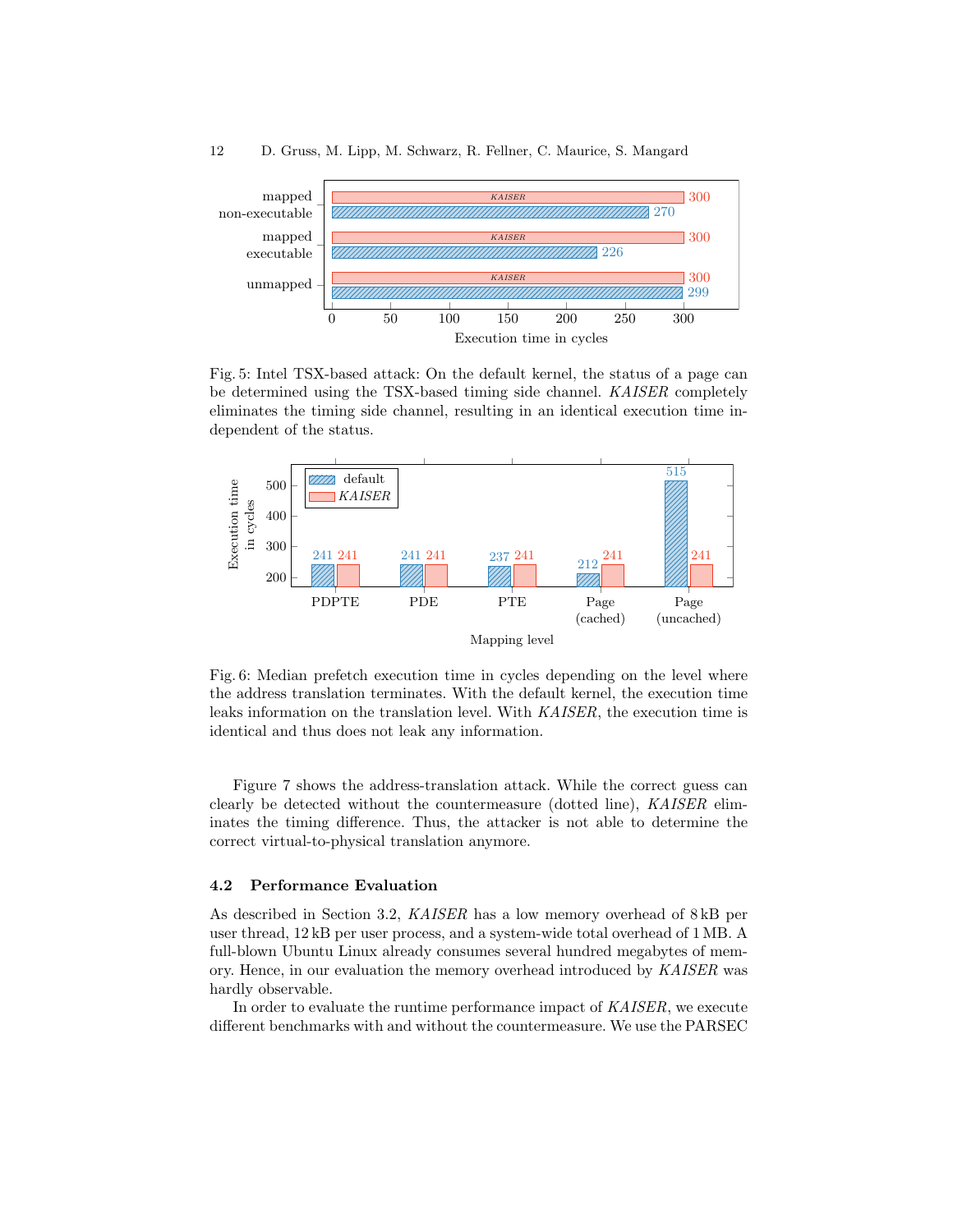

#### 12 D. Gruss, M. Lipp, M. Schwarz, R. Fellner, C. Maurice, S. Mangard

Fig. 5: Intel TSX-based attack: On the default kernel, the status of a page can be determined using the TSX-based timing side channel. KAISER completely eliminates the timing side channel, resulting in an identical execution time independent of the status.



Fig. 6: Median prefetch execution time in cycles depending on the level where the address translation terminates. With the default kernel, the execution time leaks information on the translation level. With KAISER, the execution time is identical and thus does not leak any information.

Figure 7 shows the address-translation attack. While the correct guess can clearly be detected without the countermeasure (dotted line), KAISER eliminates the timing difference. Thus, the attacker is not able to determine the correct virtual-to-physical translation anymore.

#### 4.2 Performance Evaluation

As described in Section 3.2, KAISER has a low memory overhead of 8 kB per user thread, 12 kB per user process, and a system-wide total overhead of 1 MB. A full-blown Ubuntu Linux already consumes several hundred megabytes of memory. Hence, in our evaluation the memory overhead introduced by KAISER was hardly observable.

In order to evaluate the runtime performance impact of KAISER, we execute different benchmarks with and without the countermeasure. We use the PARSEC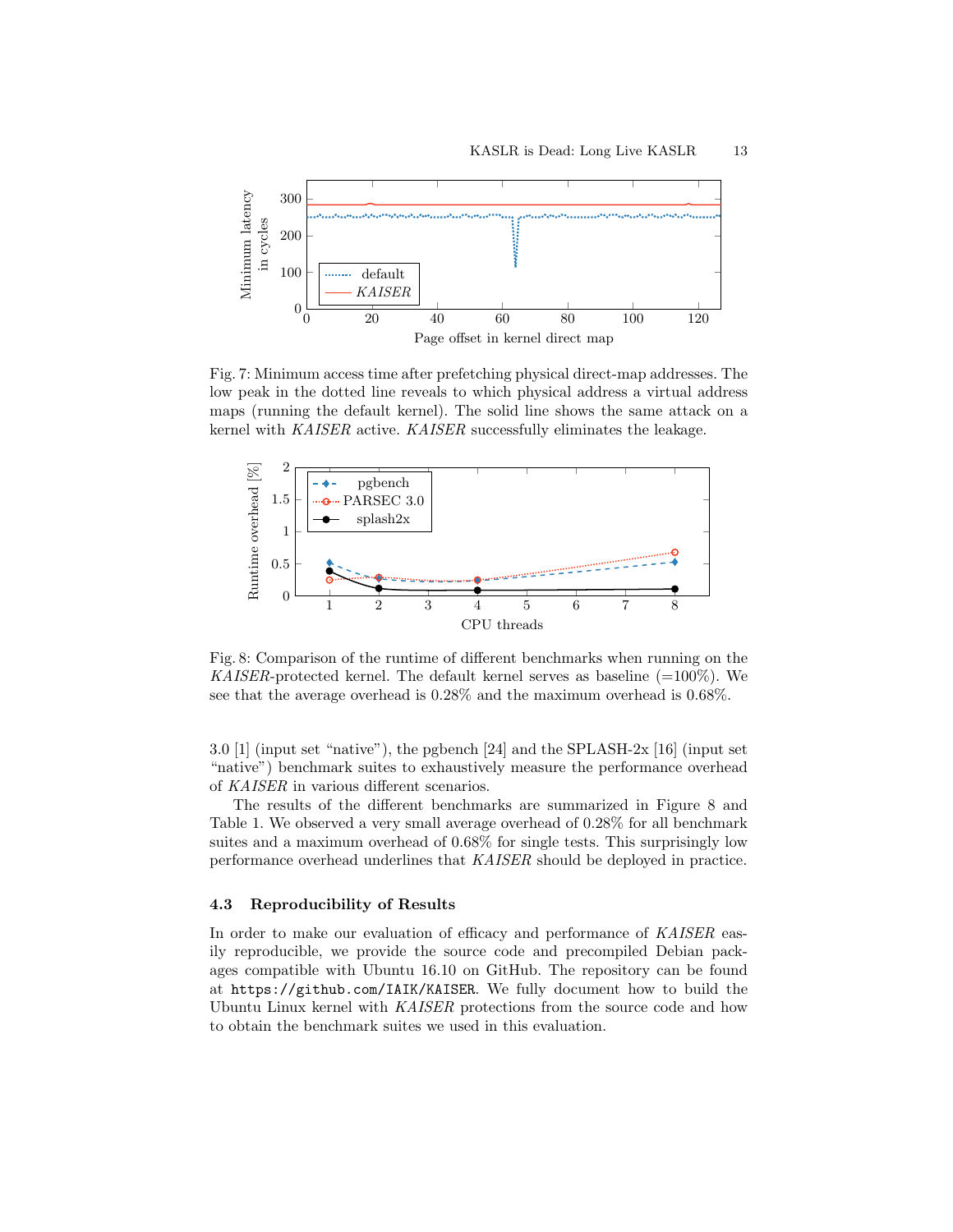

Fig. 7: Minimum access time after prefetching physical direct-map addresses. The low peak in the dotted line reveals to which physical address a virtual address maps (running the default kernel). The solid line shows the same attack on a kernel with KAISER active. KAISER successfully eliminates the leakage.



Fig. 8: Comparison of the runtime of different benchmarks when running on the KAISER-protected kernel. The default kernel serves as baseline  $(=100\%)$ . We see that the average overhead is 0.28% and the maximum overhead is 0.68%.

3.0 [1] (input set "native"), the pgbench [24] and the SPLASH-2x [16] (input set "native") benchmark suites to exhaustively measure the performance overhead of KAISER in various different scenarios.

The results of the different benchmarks are summarized in Figure 8 and Table 1. We observed a very small average overhead of 0.28% for all benchmark suites and a maximum overhead of 0.68% for single tests. This surprisingly low performance overhead underlines that KAISER should be deployed in practice.

#### 4.3 Reproducibility of Results

In order to make our evaluation of efficacy and performance of KAISER easily reproducible, we provide the source code and precompiled Debian packages compatible with Ubuntu 16.10 on GitHub. The repository can be found at https://github.com/IAIK/KAISER. We fully document how to build the Ubuntu Linux kernel with KAISER protections from the source code and how to obtain the benchmark suites we used in this evaluation.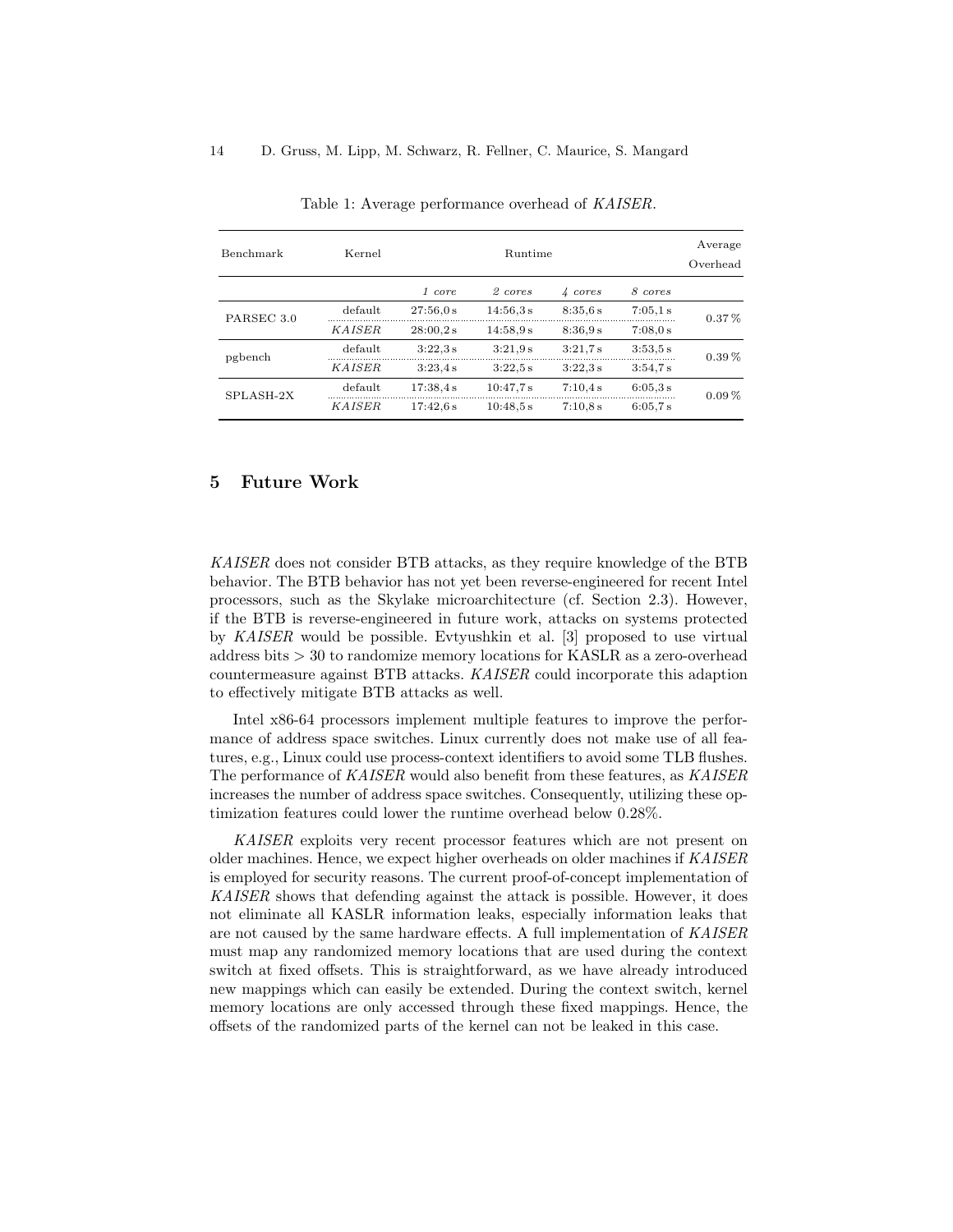#### 14 D. Gruss, M. Lipp, M. Schwarz, R. Fellner, C. Maurice, S. Mangard

| Benchmark  | Kernel        | Runtime   |           |                  |          | Average<br>Overhead |
|------------|---------------|-----------|-----------|------------------|----------|---------------------|
|            |               | 1 core    | 2 cores   | $\sqrt{4}$ cores | 8 cores  |                     |
| PARSEC 3.0 | default       | 27:56.0 s | 14:56.3 s | 8:35.6 s         | 7:05,1 s | $0.37\%$            |
|            | <b>KAISER</b> | 28:00.2 s | 14:58.9 s | 8:36.9 s         | 7:08.0 s |                     |
| pgbench    | default       | 3:22.3 s  | 3:21.9 s  | 3:21.7s          | 3:53,5 s | $0.39\%$            |
|            | <b>KAISER</b> | 3:23.4 s  | 3:22.5s   | 3:22.3 s         | 3:54.7 s |                     |
| SPLASH-2X  | default       | 17:38.4 s | 10:47.7 s | 7:10.4 s         | 6:05.3 s | $0.09\%$            |
|            | KAISER        | 17:42.6 s | 10:48.5 s | 7:10.8 s         | 6:05.7 s |                     |

Table 1: Average performance overhead of KAISER.

# 5 Future Work

KAISER does not consider BTB attacks, as they require knowledge of the BTB behavior. The BTB behavior has not yet been reverse-engineered for recent Intel processors, such as the Skylake microarchitecture (cf. Section 2.3). However, if the BTB is reverse-engineered in future work, attacks on systems protected by KAISER would be possible. Evtyushkin et al. [3] proposed to use virtual address bits > 30 to randomize memory locations for KASLR as a zero-overhead countermeasure against BTB attacks. KAISER could incorporate this adaption to effectively mitigate BTB attacks as well.

Intel x86-64 processors implement multiple features to improve the performance of address space switches. Linux currently does not make use of all features, e.g., Linux could use process-context identifiers to avoid some TLB flushes. The performance of KAISER would also benefit from these features, as KAISER increases the number of address space switches. Consequently, utilizing these optimization features could lower the runtime overhead below 0.28%.

KAISER exploits very recent processor features which are not present on older machines. Hence, we expect higher overheads on older machines if KAISER is employed for security reasons. The current proof-of-concept implementation of KAISER shows that defending against the attack is possible. However, it does not eliminate all KASLR information leaks, especially information leaks that are not caused by the same hardware effects. A full implementation of KAISER must map any randomized memory locations that are used during the context switch at fixed offsets. This is straightforward, as we have already introduced new mappings which can easily be extended. During the context switch, kernel memory locations are only accessed through these fixed mappings. Hence, the offsets of the randomized parts of the kernel can not be leaked in this case.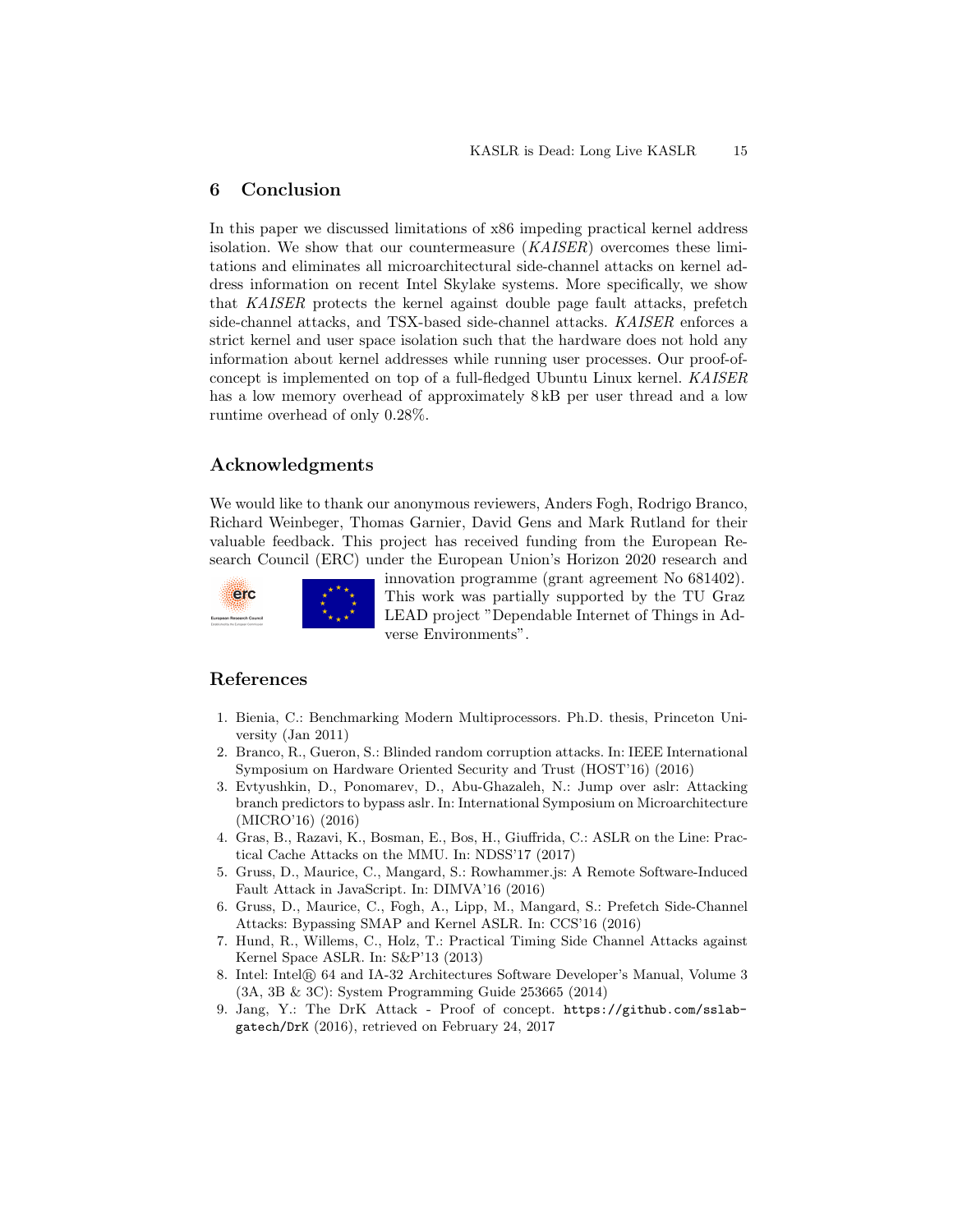### 6 Conclusion

In this paper we discussed limitations of x86 impeding practical kernel address isolation. We show that our countermeasure (KAISER) overcomes these limitations and eliminates all microarchitectural side-channel attacks on kernel address information on recent Intel Skylake systems. More specifically, we show that KAISER protects the kernel against double page fault attacks, prefetch side-channel attacks, and TSX-based side-channel attacks. KAISER enforces a strict kernel and user space isolation such that the hardware does not hold any information about kernel addresses while running user processes. Our proof-ofconcept is implemented on top of a full-fledged Ubuntu Linux kernel. KAISER has a low memory overhead of approximately  $8kB$  per user thread and a low runtime overhead of only 0.28%.

# Acknowledgments

We would like to thank our anonymous reviewers, Anders Fogh, Rodrigo Branco, Richard Weinbeger, Thomas Garnier, David Gens and Mark Rutland for their valuable feedback. This project has received funding from the European Research Council (ERC) under the European Union's Horizon 2020 research and



innovation programme (grant agreement No 681402). This work was partially supported by the TU Graz LEAD project "Dependable Internet of Things in Adverse Environments".

# References

- 1. Bienia, C.: Benchmarking Modern Multiprocessors. Ph.D. thesis, Princeton University (Jan 2011)
- 2. Branco, R., Gueron, S.: Blinded random corruption attacks. In: IEEE International Symposium on Hardware Oriented Security and Trust (HOST'16) (2016)
- 3. Evtyushkin, D., Ponomarev, D., Abu-Ghazaleh, N.: Jump over aslr: Attacking branch predictors to bypass aslr. In: International Symposium on Microarchitecture (MICRO'16) (2016)
- 4. Gras, B., Razavi, K., Bosman, E., Bos, H., Giuffrida, C.: ASLR on the Line: Practical Cache Attacks on the MMU. In: NDSS'17 (2017)
- 5. Gruss, D., Maurice, C., Mangard, S.: Rowhammer.js: A Remote Software-Induced Fault Attack in JavaScript. In: DIMVA'16 (2016)
- 6. Gruss, D., Maurice, C., Fogh, A., Lipp, M., Mangard, S.: Prefetch Side-Channel Attacks: Bypassing SMAP and Kernel ASLR. In: CCS'16 (2016)
- 7. Hund, R., Willems, C., Holz, T.: Practical Timing Side Channel Attacks against Kernel Space ASLR. In: S&P'13 (2013)
- 8. Intel: Intel <sup>R</sup> 64 and IA-32 Architectures Software Developer's Manual, Volume 3 (3A, 3B & 3C): System Programming Guide 253665 (2014)
- 9. Jang, Y.: The DrK Attack Proof of concept. https://github.com/sslabgatech/DrK (2016), retrieved on February 24, 2017